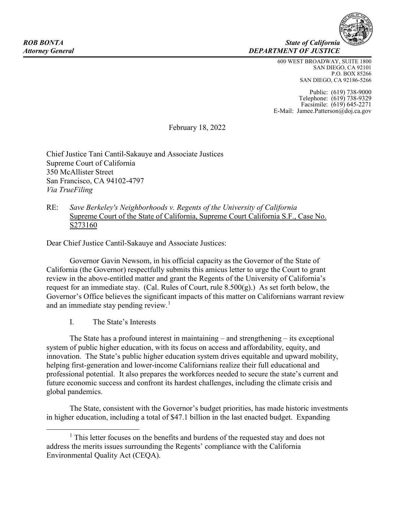**ROB BONTA** State of California *Attorney General DEPARTMENT OF JUSTICE*

> 600 WEST BROADWAY, SUITE 1800 SAN DIEGO, CA 92101 P.O. BOX 85266 SAN DIEGO, CA 92186-5266

Public: (619) 738-9000 Telephone: (619) 738-9329 Facsimile: (619) 645-2271 E-Mail: Jamee.Patterson@doj.ca.gov

February 18, 2022

Chief Justice Tani Cantil-Sakauye and Associate Justices Supreme Court of California 350 McAllister Street San Francisco, CA 94102-4797 *Via TrueFiling*

## RE: *Save Berkeley's Neighborhoods v. Regents of the University of California* Supreme Court of the State of California, Supreme Court California S.F., Case No. S273160

Dear Chief Justice Cantil-Sakauye and Associate Justices:

Governor Gavin Newsom, in his official capacity as the Governor of the State of California (the Governor) respectfully submits this amicus letter to urge the Court to grant review in the above-entitled matter and grant the Regents of the University of California's request for an immediate stay. (Cal. Rules of Court, rule  $8.500(g)$ .) As set forth below, the Governor's Office believes the significant impacts of this matter on Californians warrant review and an immediate stay pending review.<sup>[1](#page-0-0)</sup>

I. The State's Interests

The State has a profound interest in maintaining – and strengthening – its exceptional system of public higher education, with its focus on access and affordability, equity, and innovation. The State's public higher education system drives equitable and upward mobility, helping first-generation and lower-income Californians realize their full educational and professional potential. It also prepares the workforces needed to secure the state's current and future economic success and confront its hardest challenges, including the climate crisis and global pandemics.

The State, consistent with the Governor's budget priorities, has made historic investments in higher education, including a total of \$47.1 billion in the last enacted budget. Expanding

<span id="page-0-0"></span><sup>&</sup>lt;sup>1</sup> This letter focuses on the benefits and burdens of the requested stay and does not address the merits issues surrounding the Regents' compliance with the California Environmental Quality Act (CEQA).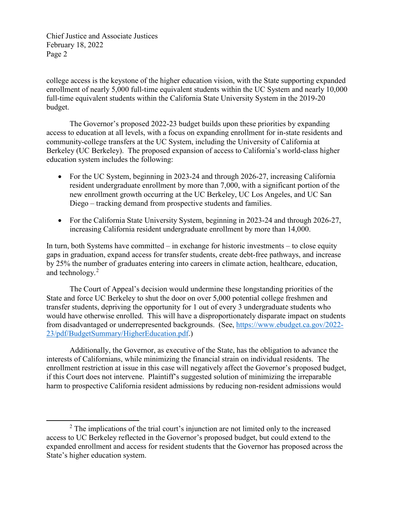Chief Justice and Associate Justices February 18, 2022 Page 2

college access is the keystone of the higher education vision, with the State supporting expanded enrollment of nearly 5,000 full-time equivalent students within the UC System and nearly 10,000 full-time equivalent students within the California State University System in the 2019-20 budget.

The Governor's proposed 2022-23 budget builds upon these priorities by expanding access to education at all levels, with a focus on expanding enrollment for in-state residents and community-college transfers at the UC System, including the University of California at Berkeley (UC Berkeley). The proposed expansion of access to California's world-class higher education system includes the following:

- For the UC System, beginning in 2023-24 and through 2026-27, increasing California resident undergraduate enrollment by more than 7,000, with a significant portion of the new enrollment growth occurring at the UC Berkeley, UC Los Angeles, and UC San Diego – tracking demand from prospective students and families.
- For the California State University System, beginning in 2023-24 and through 2026-27, increasing California resident undergraduate enrollment by more than 14,000.

In turn, both Systems have committed – in exchange for historic investments – to close equity gaps in graduation, expand access for transfer students, create debt-free pathways, and increase by 25% the number of graduates entering into careers in climate action, healthcare, education, and technology.[2](#page-1-0)

The Court of Appeal's decision would undermine these longstanding priorities of the State and force UC Berkeley to shut the door on over 5,000 potential college freshmen and transfer students, depriving the opportunity for 1 out of every 3 undergraduate students who would have otherwise enrolled. This will have a disproportionately disparate impact on students from disadvantaged or underrepresented backgrounds. (See, [https://www.ebudget.ca.gov/2022-](https://www.ebudget.ca.gov/2022-23/pdf/BudgetSummary/HigherEducation.pdf) [23/pdf/BudgetSummary/HigherEducation.pdf.](https://www.ebudget.ca.gov/2022-23/pdf/BudgetSummary/HigherEducation.pdf))

Additionally, the Governor, as executive of the State, has the obligation to advance the interests of Californians, while minimizing the financial strain on individual residents. The enrollment restriction at issue in this case will negatively affect the Governor's proposed budget, if this Court does not intervene. Plaintiff's suggested solution of minimizing the irreparable harm to prospective California resident admissions by reducing non-resident admissions would

<span id="page-1-0"></span><sup>&</sup>lt;sup>2</sup> The implications of the trial court's injunction are not limited only to the increased access to UC Berkeley reflected in the Governor's proposed budget, but could extend to the expanded enrollment and access for resident students that the Governor has proposed across the State's higher education system.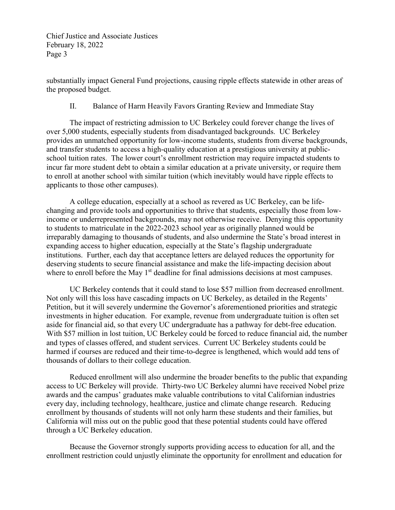Chief Justice and Associate Justices February 18, 2022 Page 3

substantially impact General Fund projections, causing ripple effects statewide in other areas of the proposed budget.

II. Balance of Harm Heavily Favors Granting Review and Immediate Stay

The impact of restricting admission to UC Berkeley could forever change the lives of over 5,000 students, especially students from disadvantaged backgrounds. UC Berkeley provides an unmatched opportunity for low-income students, students from diverse backgrounds, and transfer students to access a high-quality education at a prestigious university at publicschool tuition rates. The lower court's enrollment restriction may require impacted students to incur far more student debt to obtain a similar education at a private university, or require them to enroll at another school with similar tuition (which inevitably would have ripple effects to applicants to those other campuses).

A college education, especially at a school as revered as UC Berkeley, can be lifechanging and provide tools and opportunities to thrive that students, especially those from lowincome or underrepresented backgrounds, may not otherwise receive. Denying this opportunity to students to matriculate in the 2022-2023 school year as originally planned would be irreparably damaging to thousands of students, and also undermine the State's broad interest in expanding access to higher education, especially at the State's flagship undergraduate institutions. Further, each day that acceptance letters are delayed reduces the opportunity for deserving students to secure financial assistance and make the life-impacting decision about where to enroll before the May 1<sup>st</sup> deadline for final admissions decisions at most campuses.

UC Berkeley contends that it could stand to lose \$57 million from decreased enrollment. Not only will this loss have cascading impacts on UC Berkeley, as detailed in the Regents' Petition, but it will severely undermine the Governor's aforementioned priorities and strategic investments in higher education. For example, revenue from undergraduate tuition is often set aside for financial aid, so that every UC undergraduate has a pathway for debt-free education. With \$57 million in lost tuition, UC Berkeley could be forced to reduce financial aid, the number and types of classes offered, and student services. Current UC Berkeley students could be harmed if courses are reduced and their time-to-degree is lengthened, which would add tens of thousands of dollars to their college education.

Reduced enrollment will also undermine the broader benefits to the public that expanding access to UC Berkeley will provide. Thirty-two UC Berkeley alumni have received Nobel prize awards and the campus' graduates make valuable contributions to vital Californian industries every day, including technology, healthcare, justice and climate change research. Reducing enrollment by thousands of students will not only harm these students and their families, but California will miss out on the public good that these potential students could have offered through a UC Berkeley education.

Because the Governor strongly supports providing access to education for all, and the enrollment restriction could unjustly eliminate the opportunity for enrollment and education for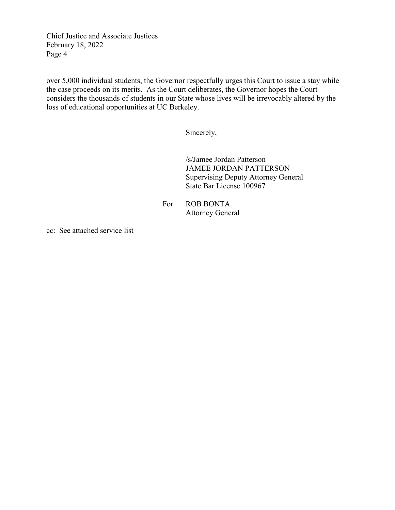Chief Justice and Associate Justices February 18, 2022 Page 4

over 5,000 individual students, the Governor respectfully urges this Court to issue a stay while the case proceeds on its merits. As the Court deliberates, the Governor hopes the Court considers the thousands of students in our State whose lives will be irrevocably altered by the loss of educational opportunities at UC Berkeley.

Sincerely,

/s/Jamee Jordan Patterson JAMEE JORDAN PATTERSON Supervising Deputy Attorney General State Bar License 100967

For ROB BONTA Attorney General

cc: See attached service list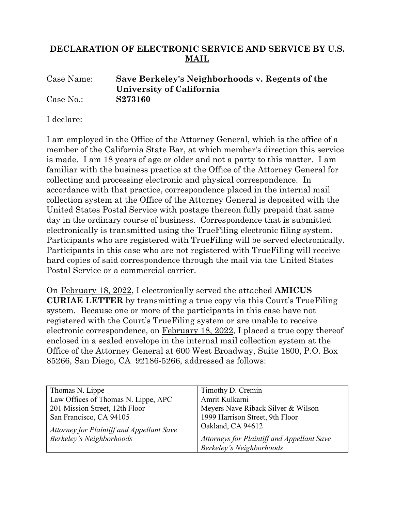## **DECLARATION OF ELECTRONIC SERVICE AND SERVICE BY U.S. MAIL**

## Case Name: **Save Berkeley's Neighborhoods v. Regents of the University of California** Case No.: **S273160**

I declare:

I am employed in the Office of the Attorney General, which is the office of a member of the California State Bar, at which member's direction this service is made. I am 18 years of age or older and not a party to this matter. I am familiar with the business practice at the Office of the Attorney General for collecting and processing electronic and physical correspondence. In accordance with that practice, correspondence placed in the internal mail collection system at the Office of the Attorney General is deposited with the United States Postal Service with postage thereon fully prepaid that same day in the ordinary course of business. Correspondence that is submitted electronically is transmitted using the TrueFiling electronic filing system. Participants who are registered with TrueFiling will be served electronically. Participants in this case who are not registered with TrueFiling will receive hard copies of said correspondence through the mail via the United States Postal Service or a commercial carrier.

On February 18, 2022, I electronically served the attached **AMICUS CURIAE LETTER** by transmitting a true copy via this Court's TrueFiling system. Because one or more of the participants in this case have not registered with the Court's TrueFiling system or are unable to receive electronic correspondence, on February 18, 2022, I placed a true copy thereof enclosed in a sealed envelope in the internal mail collection system at the Office of the Attorney General at 600 West Broadway, Suite 1800, P.O. Box 85266, San Diego, CA 92186-5266, addressed as follows:

| Timothy D. Cremin                          |
|--------------------------------------------|
|                                            |
| Amrit Kulkarni                             |
| Meyers Nave Riback Silver & Wilson         |
|                                            |
| 1999 Harrison Street, 9th Floor            |
| Oakland, CA 94612                          |
|                                            |
|                                            |
| Attorneys for Plaintiff and Appellant Save |
| Berkeley's Neighborhoods                   |
|                                            |